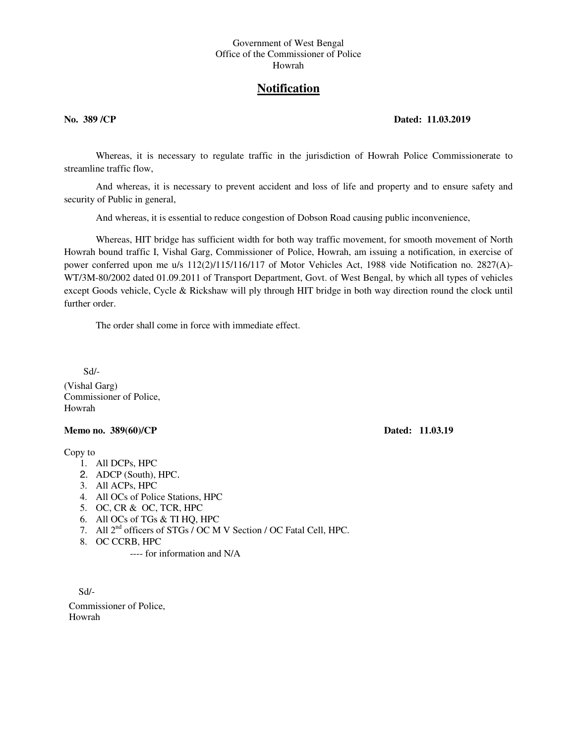## Government of West Bengal Office of the Commissioner of Police Howrah

## **Notification**

## **No. 389 /CP Dated: 11.03.2019**

Whereas, it is necessary to regulate traffic in the jurisdiction of Howrah Police Commissionerate to streamline traffic flow,

And whereas, it is necessary to prevent accident and loss of life and property and to ensure safety and security of Public in general,

And whereas, it is essential to reduce congestion of Dobson Road causing public inconvenience,

Whereas, HIT bridge has sufficient width for both way traffic movement, for smooth movement of North Howrah bound traffic I, Vishal Garg, Commissioner of Police, Howrah, am issuing a notification, in exercise of power conferred upon me u/s 112(2)/115/116/117 of Motor Vehicles Act, 1988 vide Notification no. 2827(A)- WT/3M-80/2002 dated 01.09.2011 of Transport Department, Govt. of West Bengal, by which all types of vehicles except Goods vehicle, Cycle & Rickshaw will ply through HIT bridge in both way direction round the clock until further order

The order shall come in force with immediate effect.

Sd/-

(Vishal Garg) Commissioner of Police, Howrah

## **Memo no. 389(60)/CP** Dated: 11.03.19

Copy to

- 1. All DCPs, HPC
- 2. ADCP (South), HPC.
- 3. All ACPs, HPC
- 4. All OCs of Police Stations, HPC
- 5. OC, CR & OC, TCR, HPC
- 6. All OCs of TGs & TI HQ, HPC
- 7. All 2nd officers of STGs / OC M V Section / OC Fatal Cell, HPC.
- 8. OC CCRB, HPC

---- for information and N/A

 Sd/- Commissioner of Police, Howrah